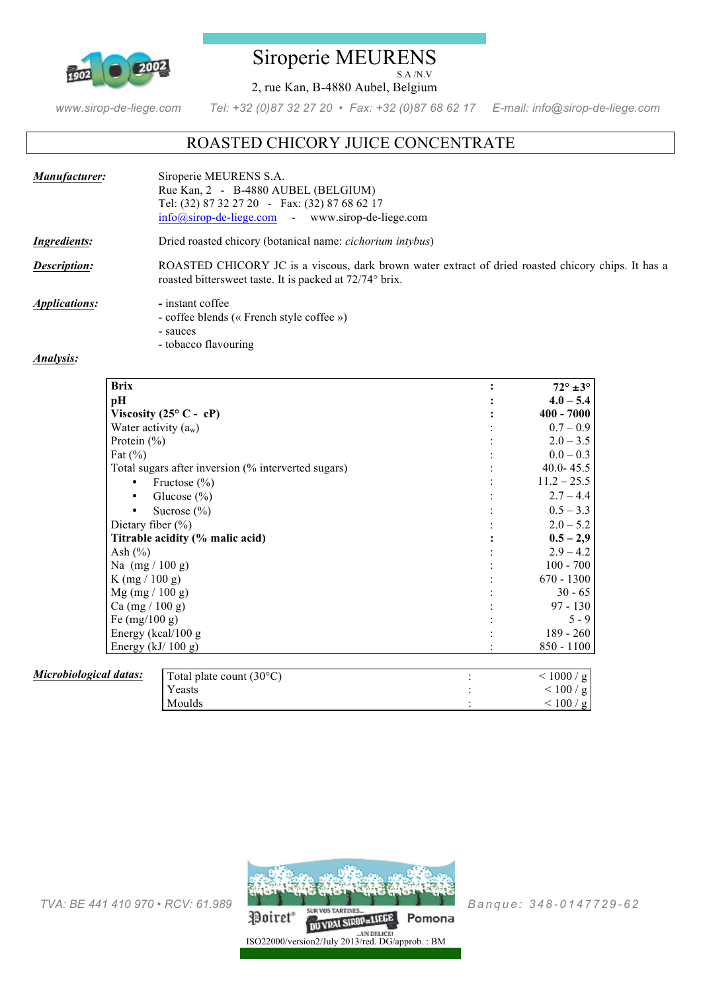

### Siroperie MEURENS S.A /N.V

2, rue Kan, B-4880 Aubel, Belgium

*www.sirop-de-liege.com Tel: +32 (0)87 32 27 20 • Fax: +32 (0)87 68 62 17 E-mail: info@sirop-de-liege.com*

# ROASTED CHICORY JUICE CONCENTRATE

| Manufacturer:               | Siroperie MEURENS S.A.<br>Rue Kan, 2 - B-4880 AUBEL (BELGIUM)<br>Tel: (32) 87 32 27 20 - Fax: (32) 87 68 62 17<br>$info@sirop-de-liege.com$ www.sirop-de-liege.com |
|-----------------------------|--------------------------------------------------------------------------------------------------------------------------------------------------------------------|
| Ingredients:                | Dried roasted chicory (botanical name: <i>cichorium intybus</i> )                                                                                                  |
| Description:                | ROASTED CHICORY JC is a viscous, dark brown water extract of dried roasted chicory chips. It has a<br>roasted bitters weet taste. It is packed at 72/74° brix.     |
| <i><b>Applications:</b></i> | - instant coffee                                                                                                                                                   |

- coffee blends (« French style coffee »)
- sauces - tobacco flavouring

#### *Analysis:*

| <b>Brix</b>                                         |                                   | $72^\circ \pm 3^\circ$ |
|-----------------------------------------------------|-----------------------------------|------------------------|
| pH                                                  |                                   | $4.0 - 5.4$            |
| Viscosity (25 $\degree$ C - cP)                     |                                   | $400 - 7000$           |
| Water activity $(a_w)$                              |                                   | $0.7 - 0.9$            |
| Protein $(\% )$                                     |                                   | $2.0 - 3.5$            |
| Fat $(\% )$                                         |                                   | $0.0 - 0.3$            |
| Total sugars after inversion (% interverted sugars) |                                   | 40.0 - $45.5$          |
| Fructose $(\% )$                                    |                                   | $11.2 - 25.5$          |
| Glucose $(\% )$<br>٠                                |                                   | $2.7 - 4.4$            |
| Sucrose $(\% )$<br>٠                                |                                   | $0.5 - 3.3$            |
| Dietary fiber $(\% )$                               |                                   | $2.0 - 5.2$            |
| Titrable acidity (% malic acid)                     |                                   | $0.5 - 2.9$            |
| Ash $(\% )$                                         |                                   | $2.9 - 4.2$            |
| Na $(mg / 100 g)$                                   |                                   | $100 - 700$            |
| $K$ (mg / 100 g)                                    |                                   | $670 - 1300$           |
| $Mg$ (mg / 100 g)                                   |                                   | $30 - 65$              |
| Ca (mg / 100 g)                                     |                                   | $97 - 130$             |
| Fe $(mg/100 g)$                                     |                                   | $5 - 9$                |
| Energy (kcal/100 g                                  |                                   | $189 - 260$            |
| Energy $(kJ/100 g)$                                 |                                   | $850 - 1100$           |
|                                                     |                                   |                        |
| cal datas:                                          | Total plate count $(30^{\circ}C)$ | < 1000 / g             |
|                                                     | Yeasts                            | < 100 / g              |
|                                                     | Moulds                            | < 100 / g              |